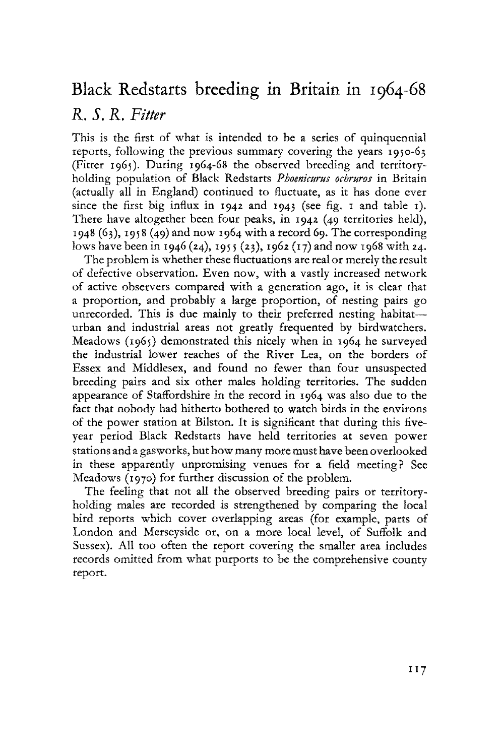# Black Redstarts breeding in Britain in 1964-68

# *R. S. R. Fitter*

This is the first of what is intended to be a series of quinquennial reports, following the previous summary covering the years 1950-63 (Fitter 1965). During 1964-68 the observed breeding and territoryholding population of Black Redstarts *Phoenicurus ochruros* in Britain (actually all in England) continued to fluctuate, as it has done ever since the first big influx in 1942 and 1943 (see fig. 1 and table 1). There have altogether been four peaks, in 1942 (49 territories held), 1948 (63), 1958 (49) and now 1964 with a record 69. The corresponding lows have been in 1946 (24), 1955 (23), 1962 (17) and now 1968 with 24.

The problem is whether these fluctuations are real or merely the result of defective observation. Even now, with a vastly increased network of active observers compared with a generation ago, it is clear that a proportion, and probably a large proportion, of nesting pairs go unrecorded. This is due mainly to their preferred nesting habitaturban and industrial areas not greatly frequented by birdwatchers. Meadows (1965) demonstrated this nicely when in 1964 he surveyed the industrial lower reaches of the River Lea, on the borders of Essex and Middlesex, and found no fewer than four unsuspected breeding pairs and six other males holding territories. The sudden appearance of Staffordshire in the record in 1964 was also due to the fact that nobody had hitherto bothered to watch birds in the environs of the power station at Bilston. It is significant that during this fiveyear period Black Redstarts have held territories at seven power stations and a gasworks, but how many more must have been overlooked in these apparently unpromising venues for a field meeting? See Meadows (1970) for further discussion of the problem.

The feeling that not all the observed breeding pairs or territoryholding males are recorded is strengthened by comparing the local bird reports which cover overlapping areas (for example, parts of London and Merseyside or, on a more local level, of Suffolk and Sussex). All too often the report covering the smaller area includes records omitted from what purports to be the comprehensive county report.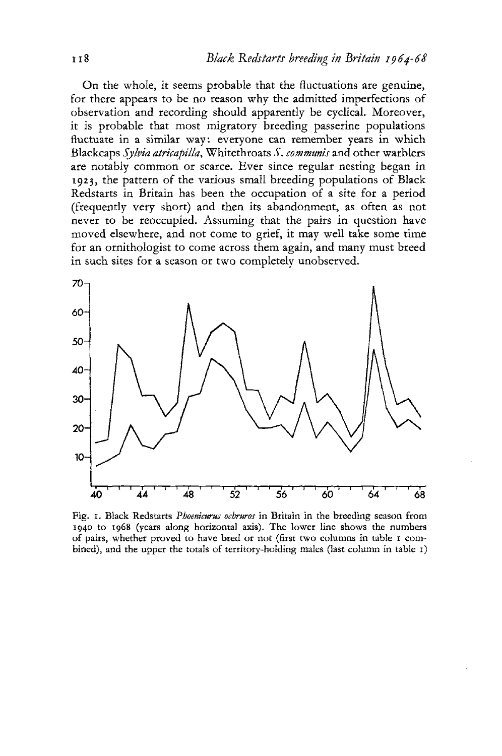On the whole, it seems probable that the fluctuations are genuine, for there appears to be no reason why the admitted imperfections of observation and recording should apparently be cyclical. Moreover, it is probable that most migratory breeding passerine populations fluctuate in a similar way: everyone can remember years in which Blackcaps *Sylvia atricapilla,* Whitethroats *S, communis* and other warblers are notably common or scarce. Ever since regular nesting began in 1923, the pattern of the various small breeding populations of Black Redstarts in Britain has been the occupation of a site for a period (frequently very short) and then its abandonment, as often as not never to be reoccupied. Assuming that the pairs in question have moved elsewhere, and not come to grief, it may well take some time for an ornithologist to come across them again, and many must breed in such sites for a season or two completely unobserved.



Fig. 1. Black Redstarts *Phoenicurus ochruros* in Britain in the breeding season from 1940 to 1968 (years along horizontal axis). The lower line shows the numbers of pairs, whether proved to have bred or not (first two columns in table 1 combined), and the upper the totals of territory-holding males (last column in table 1)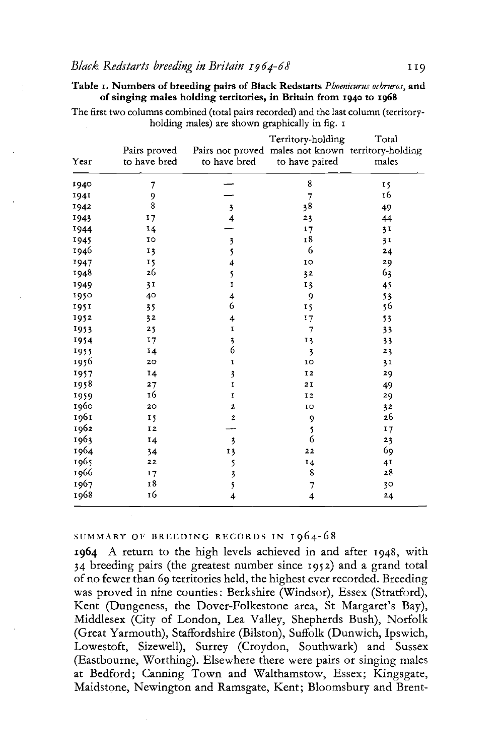**Tabl e 1. Number s of breeding pairs of Black Redstarts** *Phoenicurus ochruros,* **and of singing male s holding territories, in Britain from 1940 to 1968** 

The first two columns combined (total pairs recorded) and the last column (territoryholding males) are shown graphically in fig. 1

| Year | Pairs proved<br>to have bred | to have bred            | Territory-holding<br>Pairs not proved males not known territory-holding<br>to have paired | Total<br>males |
|------|------------------------------|-------------------------|-------------------------------------------------------------------------------------------|----------------|
| 1940 | 7                            |                         | 8                                                                                         | 15             |
| 1941 | 9                            |                         | $\overline{7}$                                                                            | 16             |
| 1942 | 8                            | 3                       | 38                                                                                        | 49             |
| 1943 | 17                           | 4                       | 23                                                                                        | 44             |
| 1944 | 14                           |                         | 17                                                                                        | 3 <sup>T</sup> |
| 1945 | 10                           | 3                       | I8                                                                                        | 31             |
| 1946 | 13                           | 5                       | 6                                                                                         | 24             |
| 1947 | 15                           | 4                       | IO                                                                                        | 29             |
| 1948 | 26                           | 5                       | 32                                                                                        | 63             |
| 1949 | 31                           | I                       | 13                                                                                        | 45             |
| 1950 | 40                           | 4                       | 9                                                                                         | 53             |
| 1951 | 35                           | 6                       | 15                                                                                        | 56             |
| 1952 | 32                           | 4                       | 17                                                                                        | 53             |
| 1953 | 25                           | 1                       | $\overline{7}$                                                                            | 33             |
| 1954 | 17                           | $\overline{\mathbf{3}}$ | 13                                                                                        | 33             |
| 1955 | 14                           | 6                       | 3                                                                                         | 23             |
| 1956 | 20                           | 1                       | 10                                                                                        | 3 <sub>1</sub> |
| 1957 | 14                           | 3                       | 12                                                                                        | 29             |
| 1958 | 27                           | $\mathbf I$             | 2 I                                                                                       | 49             |
| 1959 | 16                           | $\mathbf I$             | I <sub>2</sub>                                                                            | 29             |
| 1960 | 20                           | 2                       | 10                                                                                        | 32             |
| 1961 | I <sub>5</sub>               | $\overline{\mathbf{2}}$ | 9                                                                                         | 26             |
| 1962 | 12                           |                         | 5                                                                                         | 17             |
| 1963 | 14                           | 3                       | 6                                                                                         | 23             |
| 1964 | 34                           | 13                      | 22                                                                                        | 69             |
| 1965 | 22                           | 5                       | 14                                                                                        | 4 <sub>I</sub> |
| 1966 | 17                           | 3                       | 8                                                                                         | 28             |
| 1967 | 18                           | 5                       | 7                                                                                         | 30             |
| 1968 | 16                           | 4                       | 4                                                                                         | 24             |

SUMMARY OF BREEDING RECORDS IN 1964-68

 A return to the high levels achieved in and after 1948, with 34 breeding pairs (the greatest number since 1952) and a grand total of no fewer than 69 territories held, the highest ever recorded. Breeding was proved in nine counties: Berkshire (Windsor), Essex (Stratford), Kent (Dungeness, the Dover-Folkestone area, St Margaret's Bay), Middlesex (City of London, Lea Valley, Shepherds Bush), Norfolk (Great Yarmouth), Staffordshire (Bilston), Suffolk (Dunwich, Ipswich, Lowestoft, Sizewell), Surrey (Croydon, Southwark) and Sussex (Eastbourne, Worthing). Elsewhere there were pairs or singing males at Bedford; Canning Town and Walthamstow, Essex; Kingsgate, Maidstone, Newington and Ramsgate, Kent; Bloomsbury and Brent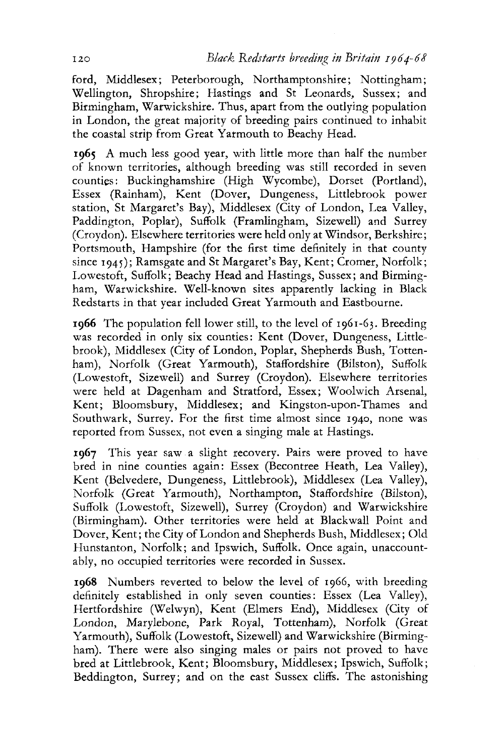ford, Middlesex; Peterborough, Northamptonshire; Nottingham; Wellington, Shropshire; Hastings and St Leonards, Sussex; and Birmingham, Warwickshire. Thus, apart from the outlying population in London, the great majority of breeding pairs continued to inhabit the coastal strip from Great Yarmouth to Beachy Head.

**1965** A much less good year, with little more than half the number of known territories, although breeding was still recorded in seven counties: Buckinghamshire (High Wycombe), Dorset (Portland), Essex (Rainham), Kent (Dover, Dungeness, Littlebrook power station, St Margaret's Bay), Middlesex (City of London, Lea Valley, Paddington, Poplar), Suffolk (Framlingham, Sizewell) and Surrey (Croydon). Elsewhere territories were held only at Windsor, Berkshire; Portsmouth, Hampshire (for the first time definitely in that county since 1945); Ramsgate and St Margaret's Bay, Kent; Cromer, Norfolk; Lowestoft, Suffolk; Beachy Head and Hastings, Sussex; and Birmingham, Warwickshire. Well-known sites apparently lacking in Black Redstarts in that year included Great Yarmouth and Eastbourne.

**1966** The population fell lower still, to the level of 1961-63. Breeding was recorded in only six counties: Kent (Dover, Dungeness, Littlebrook), Middlesex (City of London, Poplar, Shepherds Bush, Tottenham), Norfolk (Great Yarmouth), Staffordshire (Bilston), Suffolk (Lowestoft, Sizewell) and Surrey (Croydon). Elsewhere territories were held at Dagenham and Stratford, Essex; Woolwich Arsenal, Kent; Bloomsbury, Middlesex; and Kingston-upon-Thames and Southwark, Surrey. For the first time almost since 1940, none was reported from Sussex, not even a singing male at Hastings.

**1967** This year saw a slight recovery. Pairs were proved to have bred in nine counties again: Essex (Becontree Heath, Lea Valley), Kent (Belvedere, Dungeness, Littlebrook), Middlesex (Lea Valley), Norfolk (Great Yarmouth), Northampton, Staffordshire (Bilston), Suffolk (Lowestoft, Sizewell), Surrey (Croydon) and Warwickshire (Birmingham). Other territories were held at Blackwall Point and Dover, Kent; the City of London and Shepherds Bush, Middlesex; Old Hunstanton, Norfolk; and Ipswich, Suffolk. Once again, unaccountably, no occupied territories were recorded in Sussex.

**1968** Numbers reverted to below the level of 1966, with breeding definitely established in only seven counties: Essex (Lea Valley), Hertfordshire (Welwyn), Kent (Elmers End), Middlesex (City of London, Marylebone, Park Royal, Tottenham), Norfolk (Great Yarmouth), Suffolk (Lowestoft, Sizewell) and Warwickshire (Birmingham). There were also singing males or pairs not proved to have bred at Littlebrook, Kent; Bloomsbury, Middlesex; Ipswich, Suffolk; Beddington, Surrey; and on the east Sussex cliffs. The astonishing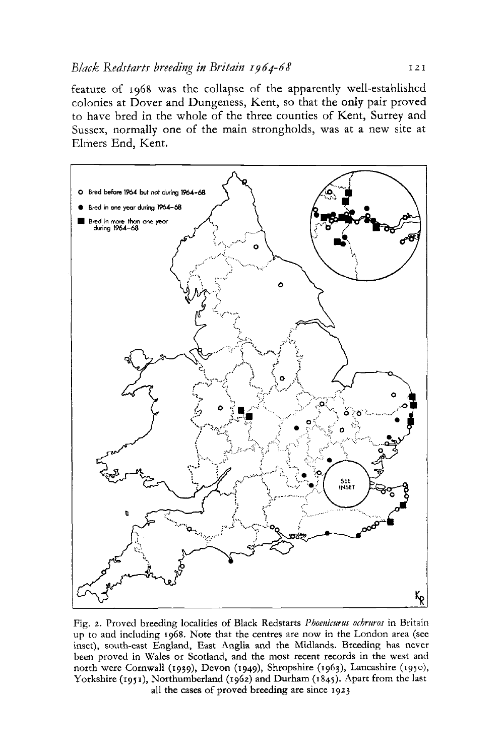feature of 1968 was the collapse of the apparently well-established colonies at Dover and Dungeness, Kent, so that the only pair proved to have bred in the whole of the three counties of Kent, Surrey and Sussex, normally one of the main strongholds, was at a new site at Elmers End, Kent.



Fig. 2. Proved breeding localities of Black Redstarts *Phoenicurus ochruros* in Britain up to and including 1968. Note that the centres are now in the London area (see inset), south-east England, East Anglia and the Midlands. Breeding has never been proved in Wales or Scotland, and the most recent records in the west and north were Cornwall (1939), Devon (1949), Shropshire (1963), Lancashire (1950), Yorkshire (1951), Northumberland (1962) and Durham (1845). Apart from the last all the cases of proved breeding are since 1923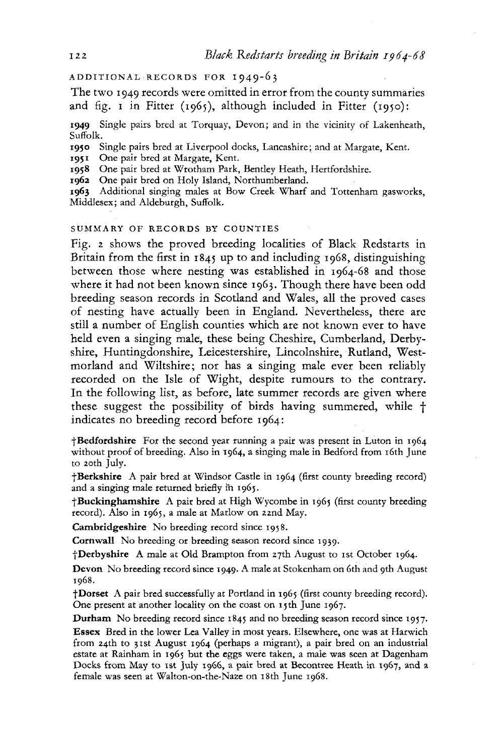ADDITIONAL RECORDS FOR I949-6 3

The two 1949 records were omitted in error from the county summaries and fig. 1 in Fitter (1965), although included in Fitter (1950):

**1949** Single pairs bred at Torquay, Devon; and in the vicinity of Lakenheath, Suffolk.

**1950** Single pairs bred at Liverpool docks, Lancashire; and at Margate, Kent.

**195**1 One pair bred at Margate, Kent.

1958 One pair bred at Wrotham Park, Bentley Heath, Hertfordshire.

**1962** One pair bred on Holy Island, Northumberland.

**1963** Additional singing males at Bow Creek Wharf and Tottenham gasworks, Middlesex; and Aldeburgh, Suffolk.

## SUMMARY OF RECORDS BY COUNTIES

Fig. 2 shows the proved breeding localities of Black Redstarts in Britain from the first in 1845 up to and including 1968, distinguishing between those where nesting was established in 1964-68 and those where it had not been known since 1963. Though there have been odd breeding season records in Scotland and Wales, all the proved cases of nesting have actually been in England. Nevertheless, there are still a number of English counties which are not known ever to have held even a singing male, these being Cheshire, Cumberland, Derbyshire, Huntingdonshire, Leicestershire, Lincolnshire, Rutland, Westmorland and Wiltshire; nor has a singing male ever been reliably recorded on the Isle of Wight, despite rumours to the contrary. In the following list, as before, late summer records are given where these suggest the possibility of birds having summered, while f indicates no breeding record before 1964:

**Bedfordshire** For the second year running a pair was present in Luton in 1964 without proof of breeding. Also in 1964, a singing male in Bedford from 16th June to 20th July.

**Berkshire** A pair bred at Windsor Castle in 1964 (first county breeding record) and a singing male returned briefly in 1965.

**Buckinghamshire** A pair bred at High Wycombe in 1965 (first county breeding record). Also in 1965, a male at Marlow on 22nd May.

**Cambridgeshire** No breeding record since 1958.

**Cornwall** No breeding or breeding season record since 1939.

**Derbyshire** A male at Old Brampton from 27th August to 1st October 1964.

**Devon** No breeding record since 1949. A male at Stokenham on 6th and 9th August 1968.

**Dorset** A pair bred successfully at Portland in 1965 (first county breeding record). One present at another locality on the coast on 15th June 1967.

**Durham** No breeding record since 1845 and no breeding season record since 1957.

Essex Bred in the lower Lea Valley in most years. Elsewhere, one was at Harwich from 24th to 31st August 1964 (perhaps a migrant), a pair bred on an industrial estate at Rainham in 1965 but **the** eggs were taken, a male was seen at Dagenham Docks from May to 1st July 1966, a pair bred at Becontree Heath in 1967, and a female was seen at Walton-on-the-Naze on 18th June 1968.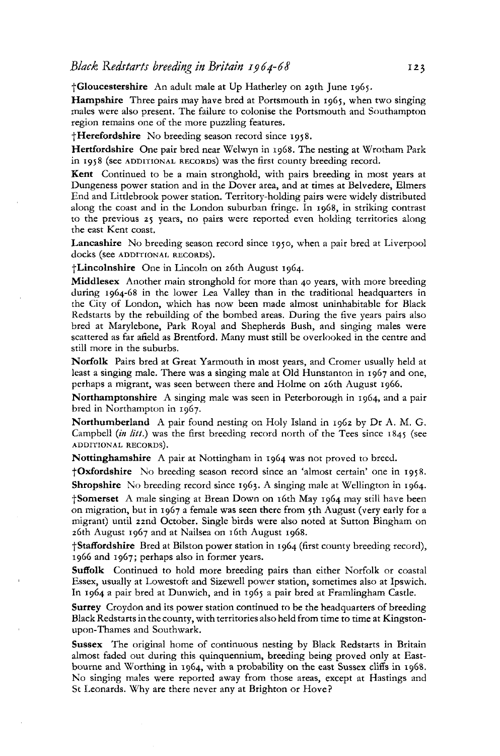Gloucestershire An adult male at Up Hatherley on 29th June 1965.

Hampshire Three pairs may have bred at Portsmouth in 1965, when two singing males were also present. The failure to colonise the Portsmouth and Southampton region remains one of the more puzzling features.

**Herefordshire** No breeding season record since 1958.

**Hertfordshire** One pair bred near Welwyn in 1968. The nesting at Wrotham Park in 1958 (see ADDITIONAL RECORDS) was the first county breeding record.

**Kent** Continued to be a main stronghold, with pairs breeding in most years at Dungeness power station and in the Dover area, and at times at Belvedere, Elmers End and Littlebrook power station. Territory-holding pairs were widely distributed along the coast and in the London suburban fringe. In 1968, in striking contrast to the previous 25 years, no pairs were reported even holding territories along the east Kent coast.

**Lancashire** No breeding season record since 1950, when a pair bred at Liverpool docks (see ADDITIONAL RECORDS).

†Lincolnshire One in Lincoln on 26th August 1964.

**Middlesex** Another main stronghold for more than 40 years, with more breeding during 1964-68 in the lower Lea Valley than in the traditional headquarters in the City of London, which has now been made almost uninhabitable for Black Redstarts by the rebuilding of the bombed areas. During the five years pairs also bred at Marylebone, Park Royal and Shepherds Bush, and singing males were scattered as far afield as Brentford. Many must still be overlooked in the centre and still more in the suburbs.

**Norfolk** Pairs bred at Great Yarmouth in most years, and Cromer usually held at least a singing male. There was a singing male at Old Hunstanton in 1967 and one, perhaps a migrant, was seen between there and Holme on 26th August 1966.

**Northamptonshire** A singing male was seen in Peterborough in 1964, and a pair bred in Northampton in 1967.

**Northumberland** A pair found nesting on Holy Island in 1962 by Dr A. M. G. Campbell *{in litt.)* was the first breeding record north of the Tees since 1845 (see ADDITIONAL RECORDS).

**Nottinghamshire** A pair at Nottingham in 1964 was not proved to breed.

**Oxfordshire** No breeding season record since an 'almost certain' one in 1958. **Shropshire** No breeding record since 1963. A singing male at Wellington in 1964. Somerset A male singing at Brean Down on 16th May 1964 may still have been on migration, but in 1967 a female was seen there from 5th August (very early for a migrant) until 22nd October. Single birds were also noted at Sutton Bingham on 26th August 1967 and at Nailsea on 16th August 1968.

**Staffordshire** Bred at Bilston power station in 1964 (first county breeding record), 1966 and 1967; perhaps also in former years.

**Suffolk** Continued to hold more breeding pairs than either Norfolk or coastal Essex, usually at Lowestoft and Sizewell power station, sometimes also at Ipswich. In 1964 a pair bred at Dunwich, and in 1965 a pair bred at Framlingham Castle.

**Surrey** Croydon and its power station continued to be the headquarters of breeding Black Redstarts in the county, with territories also held from time to time at Kingstonupon-Thames and Southwark.

**Sussex** The original home of continuous nesting by Black Redstarts in Britain almost faded out during this quinquennium, breeding being proved only at Eastbourne and Worthing in 1964, with a probability on the east Sussex cliffs in 1968. No singing males were reported away from those areas, except at Hastings and St Leonards. Why are there never any at Brighton or Hove?